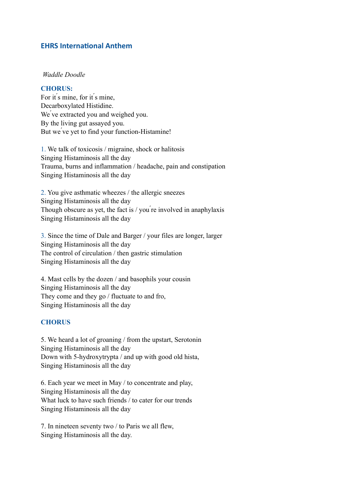## **EHRS International Anthem**

#### *Waddle Doodle*

#### **CHORUS:**

For it s mine, for it s mine, Decarboxylated Histidine. We ve extracted you and weighed you. By the living gut assayed you. But we vet to find your function-Histamine!

1. We talk of toxicosis / migraine, shock or halitosis Singing Histaminosis all the day Trauma, burns and inflammation / headache, pain and constipation Singing Histaminosis all the day

2. You give asthmatic wheezes / the allergic sneezes Singing Histaminosis all the day Though obscure as yet, the fact is / you ́re involved in anaphylaxis Singing Histaminosis all the day

3. Since the time of Dale and Barger / your files are longer, larger Singing Histaminosis all the day The control of circulation / then gastric stimulation Singing Histaminosis all the day

4. Mast cells by the dozen / and basophils your cousin Singing Histaminosis all the day They come and they go / fluctuate to and fro, Singing Histaminosis all the day

#### **CHORUS**

5. We heard a lot of groaning / from the upstart, Serotonin Singing Histaminosis all the day Down with 5-hydroxytrypta / and up with good old hista, Singing Histaminosis all the day

6. Each year we meet in May / to concentrate and play, Singing Histaminosis all the day What luck to have such friends / to cater for our trends Singing Histaminosis all the day

7. In nineteen seventy two / to Paris we all flew, Singing Histaminosis all the day.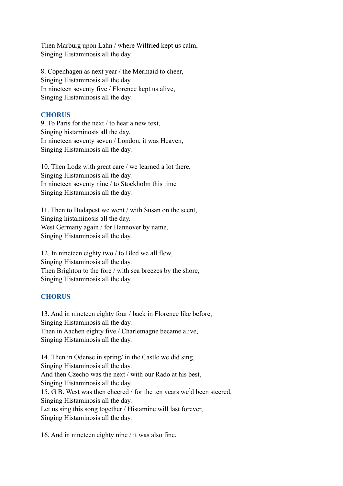Then Marburg upon Lahn / where Wilfried kept us calm, Singing Histaminosis all the day.

8. Copenhagen as next year / the Mermaid to cheer, Singing Histaminosis all the day. In nineteen seventy five / Florence kept us alive, Singing Histaminosis all the day.

## **CHORUS**

9. To Paris for the next / to hear a new text, Singing histaminosis all the day. In nineteen seventy seven / London, it was Heaven, Singing Histaminosis all the day.

10. Then Lodz with great care / we learned a lot there, Singing Histaminosis all the day. In nineteen seventy nine / to Stockholm this time Singing Histaminosis all the day.

11. Then to Budapest we went / with Susan on the scent, Singing histaminosis all the day. West Germany again / for Hannover by name, Singing Histaminosis all the day.

12. In nineteen eighty two / to Bled we all flew, Singing Histaminosis all the day. Then Brighton to the fore / with sea breezes by the shore, Singing Histaminosis all the day.

# **CHORUS**

13. And in nineteen eighty four / back in Florence like before, Singing Histaminosis all the day. Then in Aachen eighty five / Charlemagne became alive, Singing Histaminosis all the day.

14. Then in Odense in spring/ in the Castle we did sing, Singing Histaminosis all the day. And then Czecho was the next / with our Rado at his best, Singing Histaminosis all the day. 15. G.B. West was then cheered / for the ten years we ́d been steered, Singing Histaminosis all the day. Let us sing this song together / Histamine will last forever, Singing Histaminosis all the day.

16. And in nineteen eighty nine / it was also fine,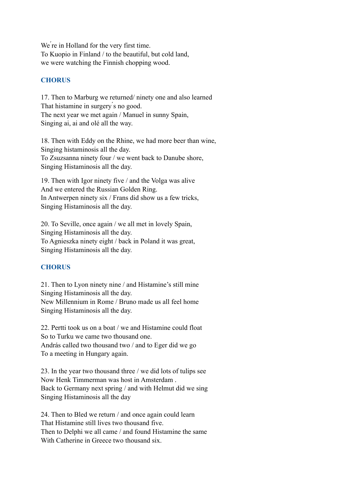We're in Holland for the very first time. To Kuopio in Finland / to the beautiful, but cold land, we were watching the Finnish chopping wood.

## **CHORUS**

17. Then to Marburg we returned/ ninety one and also learned That histamine in surgery s no good. The next year we met again / Manuel in sunny Spain, Singing ai, ai and olé all the way.

18. Then with Eddy on the Rhine, we had more beer than wine, Singing histaminosis all the day. To Zsuzsanna ninety four / we went back to Danube shore, Singing Histaminosis all the day.

19. Then with Igor ninety five / and the Volga was alive And we entered the Russian Golden Ring. In Antwerpen ninety six / Frans did show us a few tricks, Singing Histaminosis all the day.

20. To Seville, once again / we all met in lovely Spain, Singing Histaminosis all the day. To Agnieszka ninety eight / back in Poland it was great, Singing Histaminosis all the day.

### **CHORUS**

21. Then to Lyon ninety nine / and Histamine's still mine Singing Histaminosis all the day. New Millennium in Rome / Bruno made us all feel home Singing Histaminosis all the day.

22. Pertti took us on a boat / we and Histamine could float So to Turku we came two thousand one. András called two thousand two / and to Eger did we go To a meeting in Hungary again.

23. In the year two thousand three / we did lots of tulips see Now Henk Timmerman was host in Amsterdam . Back to Germany next spring / and with Helmut did we sing Singing Histaminosis all the day

24. Then to Bled we return / and once again could learn That Histamine still lives two thousand five. Then to Delphi we all came / and found Histamine the same With Catherine in Greece two thousand six.